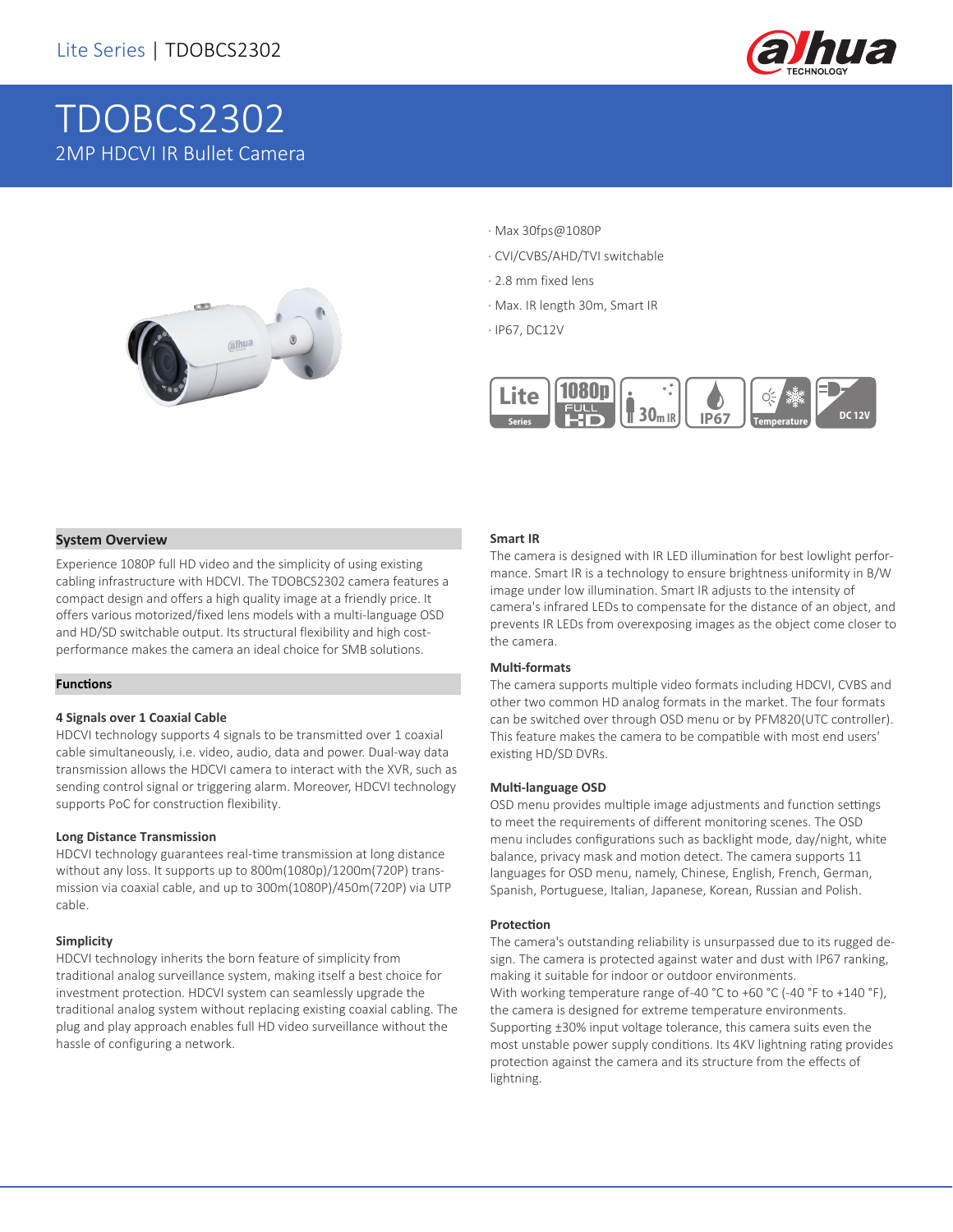

# TDOBCS2302 2MP HDCVI IR Bullet Camera



- · Max 30fps@1080P
- · CVI/CVBS/AHD/TVI switchable
- · 2.8 mm fixed lens
- · Max. IR length 30m, Smart IR
- · IP67, DC12V



#### **System Overview**

Experience 1080P full HD video and the simplicity of using existing cabling infrastructure with HDCVI. The TDOBCS2302 camera features a compact design and offers a high quality image at a friendly price. It offers various motorized/fixed lens models with a multi-language OSD and HD/SD switchable output. Its structural flexibility and high costperformance makes the camera an ideal choice for SMB solutions.

#### **Functions**

#### **4 Signals over 1 Coaxial Cable**

HDCVI technology supports 4 signals to be transmitted over 1 coaxial cable simultaneously, i.e. video, audio, data and power. Dual-way data transmission allows the HDCVI camera to interact with the XVR, such as sending control signal or triggering alarm. Moreover, HDCVI technology supports PoC for construction flexibility.

#### **Long Distance Transmission**

HDCVI technology guarantees real-time transmission at long distance without any loss. It supports up to 800m(1080p)/1200m(720P) transmission via coaxial cable, and up to 300m(1080P)/450m(720P) via UTP cable.

#### **Simplicity**

HDCVI technology inherits the born feature of simplicity from traditional analog surveillance system, making itself a best choice for investment protection. HDCVI system can seamlessly upgrade the traditional analog system without replacing existing coaxial cabling. The plug and play approach enables full HD video surveillance without the hassle of configuring a network.

#### **Smart IR**

The camera is designed with IR LED illumination for best lowlight performance. Smart IR is a technology to ensure brightness uniformity in B/W image under low illumination. Smart IR adjusts to the intensity of camera's infrared LEDs to compensate for the distance of an object, and prevents IR LEDs from overexposing images as the object come closer to the camera.

#### **Multi-formats**

The camera supports multiple video formats including HDCVI, CVBS and other two common HD analog formats in the market. The four formats can be switched over through OSD menu or by PFM820(UTC controller). This feature makes the camera to be compatible with most end users' existing HD/SD DVRs.

#### **Multi-language OSD**

OSD menu provides multiple image adjustments and function settings to meet the requirements of different monitoring scenes. The OSD menu includes configurations such as backlight mode, day/night, white balance, privacy mask and motion detect. The camera supports 11 languages for OSD menu, namely, Chinese, English, French, German, Spanish, Portuguese, Italian, Japanese, Korean, Russian and Polish.

#### **Protection**

The camera's outstanding reliability is unsurpassed due to its rugged design. The camera is protected against water and dust with IP67 ranking, making it suitable for indoor or outdoor environments. With working temperature range of-40 °C to +60 °C (-40 °F to +140 °F), the camera is designed for extreme temperature environments. Supporting ±30% input voltage tolerance, this camera suits even the most unstable power supply conditions. Its 4KV lightning rating provides protection against the camera and its structure from the effects of lightning.